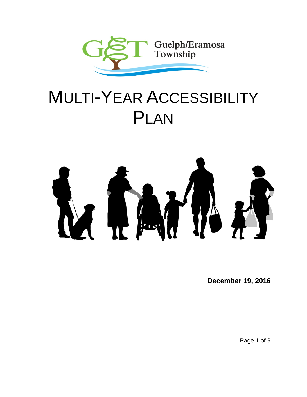

# MULTI-YEAR ACCESSIBILITY PLAN



**December 19, 2016**

Page 1 of 9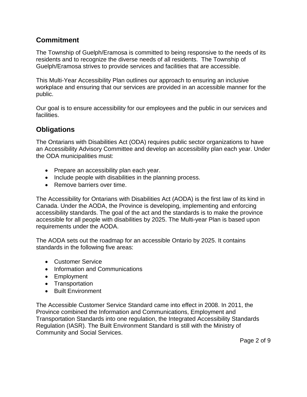#### **Commitment**

The Township of Guelph/Eramosa is committed to being responsive to the needs of its residents and to recognize the diverse needs of all residents. The Township of Guelph/Eramosa strives to provide services and facilities that are accessible.

This Multi-Year Accessibility Plan outlines our approach to ensuring an inclusive workplace and ensuring that our services are provided in an accessible manner for the public.

Our goal is to ensure accessibility for our employees and the public in our services and facilities.

#### **Obligations**

The Ontarians with Disabilities Act (ODA) requires public sector organizations to have an Accessibility Advisory Committee and develop an accessibility plan each year. Under the ODA municipalities must:

- Prepare an accessibility plan each year.
- Include people with disabilities in the planning process.
- Remove barriers over time.

The Accessibility for Ontarians with Disabilities Act (AODA) is the first law of its kind in Canada. Under the AODA, the Province is developing, implementing and enforcing accessibility standards. The goal of the act and the standards is to make the province accessible for all people with disabilities by 2025. The Multi-year Plan is based upon requirements under the AODA.

The AODA sets out the roadmap for an accessible Ontario by 2025. It contains standards in the following five areas:

- Customer Service
- Information and Communications
- Employment
- Transportation
- Built Environment

The Accessible Customer Service Standard came into effect in 2008. In 2011, the Province combined the Information and Communications, Employment and Transportation Standards into one regulation, the Integrated Accessibility Standards Regulation (IASR). The Built Environment Standard is still with the Ministry of Community and Social Services.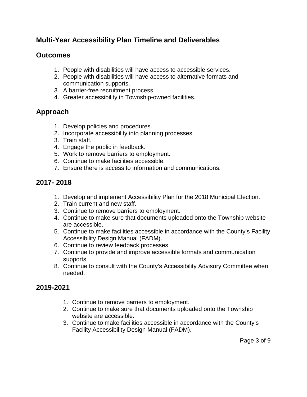## **Multi-Year Accessibility Plan Timeline and Deliverables**

#### **Outcomes**

- 1. People with disabilities will have access to accessible services.
- 2. People with disabilities will have access to alternative formats and communication supports.
- 3. A barrier-free recruitment process.
- 4. Greater accessibility in Township-owned facilities.

# **Approach**

- 1. Develop policies and procedures.
- 2. Incorporate accessibility into planning processes.
- 3. Train staff.
- 4. Engage the public in feedback.
- 5. Work to remove barriers to employment.
- 6. Continue to make facilities accessible.
- 7. Ensure there is access to information and communications.

# **2017- 2018**

- 1. Develop and implement Accessibility Plan for the 2018 Municipal Election.
- 2. Train current and new staff.
- 3. Continue to remove barriers to employment.
- 4. Continue to make sure that documents uploaded onto the Township website are accessible.
- 5. Continue to make facilities accessible in accordance with the County's Facility Accessibility Design Manual (FADM).
- 6. Continue to review feedback processes
- 7. Continue to provide and improve accessible formats and communication supports
- 8. Continue to consult with the County's Accessibility Advisory Committee when needed.

# **2019-2021**

- 1. Continue to remove barriers to employment.
- 2. Continue to make sure that documents uploaded onto the Township website are accessible.
- 3. Continue to make facilities accessible in accordance with the County's Facility Accessibility Design Manual (FADM).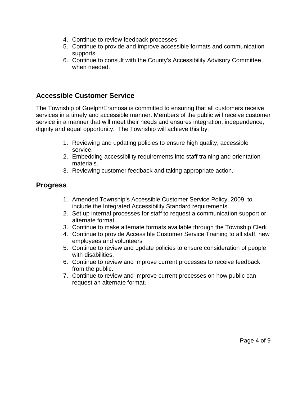- 4. Continue to review feedback processes
- 5. Continue to provide and improve accessible formats and communication supports
- 6. Continue to consult with the County's Accessibility Advisory Committee when needed.

#### **Accessible Customer Service**

The Township of Guelph/Eramosa is committed to ensuring that all customers receive services in a timely and accessible manner. Members of the public will receive customer service in a manner that will meet their needs and ensures integration, independence, dignity and equal opportunity. The Township will achieve this by:

- 1. Reviewing and updating policies to ensure high quality, accessible service.
- 2. Embedding accessibility requirements into staff training and orientation materials.
- 3. Reviewing customer feedback and taking appropriate action.

#### **Progress**

- 1. Amended Township's Accessible Customer Service Policy, 2009, to include the Integrated Accessibility Standard requirements.
- 2. Set up internal processes for staff to request a communication support or alternate format.
- 3. Continue to make alternate formats available through the Township Clerk
- 4. Continue to provide Accessible Customer Service Training to all staff, new employees and volunteers
- 5. Continue to review and update policies to ensure consideration of people with disabilities.
- 6. Continue to review and improve current processes to receive feedback from the public.
- 7. Continue to review and improve current processes on how public can request an alternate format.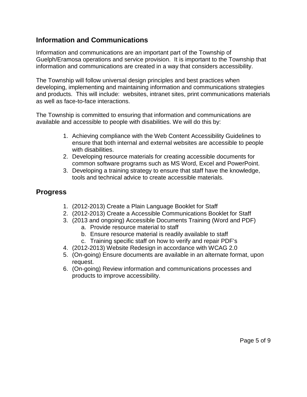#### **Information and Communications**

Information and communications are an important part of the Township of Guelph/Eramosa operations and service provision. It is important to the Township that information and communications are created in a way that considers accessibility.

The Township will follow universal design principles and best practices when developing, implementing and maintaining information and communications strategies and products. This will include: websites, intranet sites, print communications materials as well as face-to-face interactions.

The Township is committed to ensuring that information and communications are available and accessible to people with disabilities. We will do this by:

- 1. Achieving compliance with the Web Content Accessibility Guidelines to ensure that both internal and external websites are accessible to people with disabilities.
- 2. Developing resource materials for creating accessible documents for common software programs such as MS Word, Excel and PowerPoint.
- 3. Developing a training strategy to ensure that staff have the knowledge, tools and technical advice to create accessible materials.

#### **Progress**

- 1. (2012-2013) Create a Plain Language Booklet for Staff
- 2. (2012-2013) Create a Accessible Communications Booklet for Staff
- 3. (2013 and ongoing) Accessible Documents Training (Word and PDF)
	- a. Provide resource material to staff
	- b. Ensure resource material is readily available to staff
	- c. Training specific staff on how to verify and repair PDF's
- 4. (2012-2013) Website Redesign in accordance with WCAG 2.0
- 5. (On-going) Ensure documents are available in an alternate format, upon request.
- 6. (On-going) Review information and communications processes and products to improve accessibility.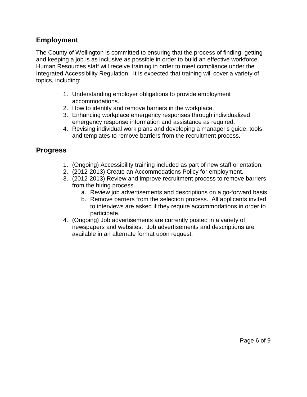#### **Employment**

The County of Wellington is committed to ensuring that the process of finding, getting and keeping a job is as inclusive as possible in order to build an effective workforce. Human Resources staff will receive training in order to meet compliance under the Integrated Accessibility Regulation. It is expected that training will cover a variety of topics, including:

- 1. Understanding employer obligations to provide employment accommodations.
- 2. How to identify and remove barriers in the workplace.
- 3. Enhancing workplace emergency responses through individualized emergency response information and assistance as required.
- 4. Revising individual work plans and developing a manager's guide, tools and templates to remove barriers from the recruitment process.

## **Progress**

- 1. (Ongoing) Accessibility training included as part of new staff orientation.
- 2. (2012-2013) Create an Accommodations Policy for employment.
- 3. (2012-2013) Review and improve recruitment process to remove barriers from the hiring process.
	- a. Review job advertisements and descriptions on a go-forward basis.
	- b. Remove barriers from the selection process. All applicants invited to interviews are asked if they require accommodations in order to participate.
- 4. (Ongoing) Job advertisements are currently posted in a variety of newspapers and websites. Job advertisements and descriptions are available in an alternate format upon request.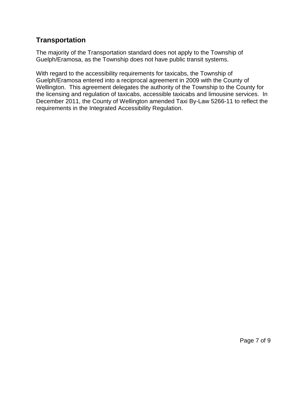### **Transportation**

The majority of the Transportation standard does not apply to the Township of Guelph/Eramosa, as the Township does not have public transit systems.

With regard to the accessibility requirements for taxicabs, the Township of Guelph/Eramosa entered into a reciprocal agreement in 2009 with the County of Wellington. This agreement delegates the authority of the Township to the County for the licensing and regulation of taxicabs, accessible taxicabs and limousine services. In December 2011, the County of Wellington amended Taxi By-Law 5266-11 to reflect the requirements in the Integrated Accessibility Regulation.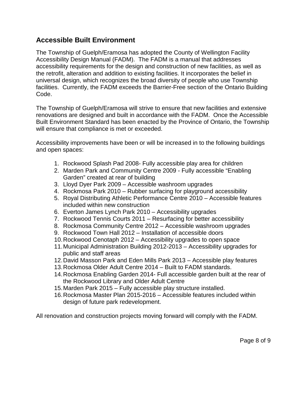#### **Accessible Built Environment**

The Township of Guelph/Eramosa has adopted the County of Wellington Facility Accessibility Design Manual (FADM). The FADM is a manual that addresses accessibility requirements for the design and construction of new facilities, as well as the retrofit, alteration and addition to existing facilities. It incorporates the belief in universal design, which recognizes the broad diversity of people who use Township facilities. Currently, the FADM exceeds the Barrier-Free section of the Ontario Building Code.

The Township of Guelph/Eramosa will strive to ensure that new facilities and extensive renovations are designed and built in accordance with the FADM. Once the Accessible Built Environment Standard has been enacted by the Province of Ontario, the Township will ensure that compliance is met or exceeded.

Accessibility improvements have been or will be increased in to the following buildings and open spaces:

- 1. Rockwood Splash Pad 2008- Fully accessible play area for children
- 2. Marden Park and Community Centre 2009 Fully accessible "Enabling Garden" created at rear of building
- 3. Lloyd Dyer Park 2009 Accessible washroom upgrades
- 4. Rockmosa Park 2010 Rubber surfacing for playground accessibility
- 5. Royal Distributing Athletic Performance Centre 2010 Accessible features included within new construction
- 6. Everton James Lynch Park 2010 Accessibility upgrades
- 7. Rockwood Tennis Courts 2011 Resurfacing for better accessibility
- 8. Rockmosa Community Centre 2012 Accessible washroom upgrades
- 9. Rockwood Town Hall 2012 Installation of accessible doors
- 10.Rockwood Cenotaph 2012 Accessibility upgrades to open space
- 11.Municipal Administration Building 2012-2013 Accessibility upgrades for public and staff areas
- 12.David Masson Park and Eden Mills Park 2013 Accessible play features
- 13.Rockmosa Older Adult Centre 2014 Built to FADM standards.
- 14.Rockmosa Enabling Garden 2014- Full accessible garden built at the rear of the Rockwood Library and Older Adult Centre
- 15.Marden Park 2015 Fully accessible play structure installed.
- 16.Rockmosa Master Plan 2015-2016 Accessible features included within design of future park redevelopment.

All renovation and construction projects moving forward will comply with the FADM.